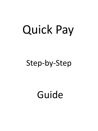# Quick Pay

## Step-by-Step

Guide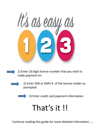

1) Enter 10 digit license number that you wish to make payment on



2) Enter SSN or DMV # of the license holder as prompted



3) Enter credit card payment information

# That's it !!

Continue reading this guide for more detailed information …..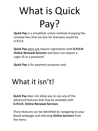# What is Quick Pay?

**Quick Pay** is a simplified, online method of paying the renewal fees that are due for licensees issued by D.P.O.R.

**Quick Pay** does not require registration with **D.P.O.R. Online Renewal Services** and does not require a Login ID or a password

**Quick Pay** is for payment purposes only

## What it isn't!

**Quick Pay** does not allow you to use any of the advanced features that may be available with **D.P.O.R. Online Renewal Services** 

These features can be identified by navigating to your Board webpage and selecting **Online Services** from the menu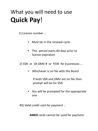## What you will need to use **Quick Pay**!

1) License number …

- Must be in the renewal cycle
- This period starts 60 days prior to license expiration

2) SSN or VA DMV # or FEIN for businesses …

• Whichever is on file with the Board

If both SSN and DMV are on file then prompt will be for SSN

• You will be prompted for the appropriate one

#3) Valid credit card for payment …

**AMEX** cards cannot be used for payment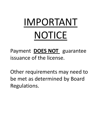# IMPORTANT NOTICE

Payment **DOES NOT** guarantee issuance of the license.

Other requirements may need to be met as determined by Board Regulations.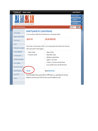| Virginia.gov                                           | <b>Agencies   Governor</b>                                                                                                   |                                                                                                                                  |                  | <b>Search Virginia.Gov</b>                |
|--------------------------------------------------------|------------------------------------------------------------------------------------------------------------------------------|----------------------------------------------------------------------------------------------------------------------------------|------------------|-------------------------------------------|
| Department of Professional and Occupational Regulation |                                                                                                                              |                                                                                                                                  | <b>LICENSEES</b> | <b>APPLICANTS&gt;&gt;</b><br>CONSUMERS >> |
| Home > Guest Renewal Payment                           |                                                                                                                              |                                                                                                                                  | Enter Keyword    | Search                                    |
| License Lookup<br>Make a Renewal Payment               | <b>Guest Payments for License Renewal</b><br>For your convenience, DPOR offers the following secure, online payment options. |                                                                                                                                  |                  |                                           |
| <b>Online Services</b>                                 | <b>QUICK PAY</b>                                                                                                             | <b>ONLINE SERVICES</b>                                                                                                           |                  |                                           |
| <b>Boards</b><br>Professions & Occupations             | Make a guest payment without logging in.                                                                                     | Need to make a renewal payment quickly? Log in to make payments and complete other transactions.                                 |                  |                                           |
| Forms & Applications<br>Fair Housing Office            | • Renew a license<br>• No account required                                                                                   | • Renew a license<br>• Make address change<br>• Reinstate an expired license                                                     |                  |                                           |
| <b>Community Associations</b><br>File a Complaint      |                                                                                                                              | • Apply for a new license<br>• Transfer or inactivate a real estate license<br>• Access multiple licenses under different boards |                  |                                           |
| <b>Records &amp; Documents</b><br>News & Information   | Pay Now                                                                                                                      | <b>Go to Online Services</b>                                                                                                     |                  |                                           |
| <b>About DPOR</b><br>Contact                           | salesperson), you must log into Online Services to access all credentials at once.                                           | If you hold multiple licenses issued by different DPOR boards (e.g., cosmetologist and real estate                               |                  |                                           |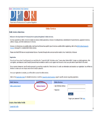

Department of Professional and Occupational Regulation

#### **Online Services**

#### **Public Services Main Menu**

Welcome to the Department of Professional & Occupational Regulation's Online Services.

We have upgraded our online services to include new license (initial) applications, renewals of existing licenses, reinstatement of expired licenses, upgrades to licenses, address changes, and other maintenance of a license.

However, not all services are available online. Each board and license has specific types of services available. Before registering, refer to the DPOR Online Renewal & Services web page for a complete list of online services.

Please note that DPOR does not accept American Express, Payments through online services must be made by Visa, MasterCard, or Discover,

#### **Registration**

If you do not have a User ID and Password, you must follow the "Create My Profile" link below under "Create a New Online Profile" to begin your initial registration. After you register, your temporary User ID and/or password may be emailed or sent to you by regular mail. Be sure to check your junk email or spam folder for the email.

If you received a temporary User ID and/or password, you must log on under the "Online Services" to verify your information and complete your registration. You will then be directed to create your own unique, secure User ID and/or password.

Once your registration is complete, you will be able to access the online services.

Refer to the Registration Guide for detailed instructions or visit the Frequently Asked Questions page for specific answers regarding registration.

| <b>Public Services</b>             | <b>Guest Services</b> | <b>Online Services</b>   |                                   |
|------------------------------------|-----------------------|--------------------------|-----------------------------------|
| Public License Search              | Renewal Payment       | * User ID/Email Address: |                                   |
|                                    |                       | * Password:              |                                   |
|                                    |                       |                          | Log On                            |
|                                    |                       |                          | Forgot your password? Click here. |
| <b>Create a New Online Profile</b> |                       |                          |                                   |
| Create My Profile                  |                       |                          |                                   |

**Contact Us**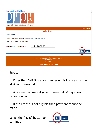| Home   Online Services   Help   Governor                                                                                                          |  |
|---------------------------------------------------------------------------------------------------------------------------------------------------|--|
| Department of Professional and Occupational Regulation                                                                                            |  |
| Logon Contact Us                                                                                                                                  |  |
| <b>Online Services</b>                                                                                                                            |  |
| <b>License Number</b>                                                                                                                             |  |
| Enter the 10-digit License Number to be renewed and press "Next" to continue.<br>Press "Cancel" to return to the logon screen.                    |  |
| 1214000001<br>License Number (no dashes or spaces):<br>Cancel<br><b>Next</b>                                                                      |  |
|                                                                                                                                                   |  |
| Virginia Department of Professional and Occupational Regulation<br>Copyright © 2008<br>WAI Compliant<br>Web Policy Start of Page Start of Content |  |

#### Step 1

 Enter the 10 digit license number – this license must be eligible for renewal.

 A license becomes eligible for renewal 60 days prior to expiration date.

 If the license is not eligible then payment cannot be made.



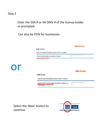### Step 2

### Enter the SSN # or VA DMV # of the license holder as prompted.

### Can also be FEIN for businesses

|    |                                                                             | <b>Online Services</b> |
|----|-----------------------------------------------------------------------------|------------------------|
|    | <b>Verify License</b>                                                       |                        |
|    | Enter the required information and press "Next" to continue.                |                        |
|    | * Social Security Number (no dashes or spaces).                             |                        |
|    |                                                                             |                        |
|    |                                                                             |                        |
|    |                                                                             |                        |
|    |                                                                             |                        |
|    |                                                                             |                        |
|    |                                                                             | <b>Online Services</b> |
|    | <b>Verify License</b>                                                       |                        |
|    | Enter the required information and press "Next" to continue.                |                        |
|    |                                                                             |                        |
| or | * Virginia Driver's License Number (no dashes or spaces e.g.<br>T11111111). |                        |

Select the 'Next' button to continue

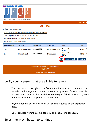

|                                              |                                                                                                                                                                                                                                                  |                       |                                                                                                                                                          |                                         | <u> Loqon - Contact Us</u> |                         |
|----------------------------------------------|--------------------------------------------------------------------------------------------------------------------------------------------------------------------------------------------------------------------------------------------------|-----------------------|----------------------------------------------------------------------------------------------------------------------------------------------------------|-----------------------------------------|----------------------------|-------------------------|
|                                              |                                                                                                                                                                                                                                                  |                       | <b>Online Services</b>                                                                                                                                   |                                         |                            |                         |
| <b>Online Guest Renewal Payment</b>          |                                                                                                                                                                                                                                                  |                       |                                                                                                                                                          |                                         |                            |                         |
| Press "Main Menu" to return to the main menu | The online payment is for the Renewal fee only and is not certifying board regulation compliance.<br>Select the applications you wish to pay for and press "Next" to continue<br>Press "Show Fee Details" to show a breakdown of the fee amounts |                       |                                                                                                                                                          |                                         |                            |                         |
| <b>Application Number</b>                    | <b>Description</b>                                                                                                                                                                                                                               | <b>License Number</b> | <b>License Type</b>                                                                                                                                      | <b>Name</b>                             | Fee                        |                         |
| 13491                                        | <b>Wax Technician Renewa</b>                                                                                                                                                                                                                     | 1214000001            | <b>Wax Technician License</b>                                                                                                                            | <b>PACELLI, ROBERT</b><br><b>THOMAS</b> | \$75.00                    | $\overline{\mathsf{v}}$ |
| 5062                                         | <b>Tattooer Renewal</b>                                                                                                                                                                                                                          | 1231000001            | <b>Tattooer License</b>                                                                                                                                  | <b>PACELLI, ROBERT</b><br><b>THOMAS</b> | \$75.00                    | √                       |
|                                              |                                                                                                                                                                                                                                                  |                       |                                                                                                                                                          | <b>Show Fee Details</b><br><b>Next</b>  | <b>Main Menu</b>           |                         |
|                                              |                                                                                                                                                                                                                                                  |                       |                                                                                                                                                          |                                         |                            |                         |
|                                              |                                                                                                                                                                                                                                                  |                       | Virginia Department of Professional and Occupational Regulation<br>Copyright © 2008<br><b>WAI</b> Compliant<br>Web Policy Start of Page Start of Content |                                         |                            |                         |
|                                              |                                                                                                                                                                                                                                                  |                       |                                                                                                                                                          |                                         |                            |                         |

#### Verify your licensees that are eligible to renew.

The check-box to the right of the fee amount indicates that license will be included in the payment. If you wish to delay a payment for one particular license then uncheck the check-box to the right of the license that you do not want to submit a payment for at this time.

Payment for any deselected items will still be required by the expiration date.

Only licensees from the same Board will be show simultaneously.

#### Select the 'Next' button to continue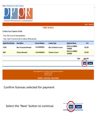Home | Online Services | Help | Governor



|                                             |                                                                 |                       | <b>Online Services</b>                                                                                      |                                         |                       |
|---------------------------------------------|-----------------------------------------------------------------|-----------------------|-------------------------------------------------------------------------------------------------------------|-----------------------------------------|-----------------------|
| Confirm Guest Payment Details               |                                                                 |                       |                                                                                                             |                                         |                       |
| Press "Next" to pay for these applications. | Press "Cancel" if you do not wish to continue with the payment. |                       |                                                                                                             |                                         |                       |
| <b>Application Number</b>                   | <b>Description</b>                                              | <b>License Number</b> | <b>License Type</b>                                                                                         | <b>Applicant Name</b>                   | Fee                   |
| 13491                                       | <b>Wax Technician Renewal</b>                                   | 1214000001            | <b>Wax Technician License</b>                                                                               | <b>PACELLI, ROBERT</b><br><b>THOMAS</b> | \$75.00               |
| 5062                                        | <b>Tattooer Renewal</b>                                         | 1231000001            | <b>Tattooer License</b>                                                                                     | <b>PACELLI, ROBERT</b><br><b>THOMAS</b> | \$75.00               |
|                                             |                                                                 |                       |                                                                                                             | <b>Total</b>                            | \$150.00              |
|                                             |                                                                 |                       |                                                                                                             |                                         | Cancel<br><b>Next</b> |
|                                             |                                                                 |                       |                                                                                                             |                                         |                       |
|                                             |                                                                 |                       | Virginia Department of Professional and Occupational Regulation<br>Copyright @ 2008<br><b>WAI</b> Compliant |                                         |                       |
|                                             |                                                                 |                       | Web Policy Start of Page Start of Content                                                                   |                                         |                       |

## Confirm licenses selected for payment

Select the 'Next' button to continue

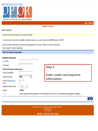#### Home | Online Services | Help | Governor



|  | Logon |  | <b>Contact Us</b> |
|--|-------|--|-------------------|
|--|-------|--|-------------------|

|                                        |                                                                                                                        |                                                                                                                  | <b>Logon Contact Us</b> |
|----------------------------------------|------------------------------------------------------------------------------------------------------------------------|------------------------------------------------------------------------------------------------------------------|-------------------------|
|                                        |                                                                                                                        | <b>Online Services</b>                                                                                           |                         |
| <b>Guest Payment</b>                   |                                                                                                                        |                                                                                                                  |                         |
|                                        | <b>Important Notice About Submitting Your Payment Information</b>                                                      |                                                                                                                  |                         |
|                                        | To avoid system errors and the possibility of multiple charges to your credit card, click the SUBMIT button only ONCE. |                                                                                                                  |                         |
| Press "Cancel" to return to main menu. | Enter the payment information, check the acknowledgement box and press "Submit" to process the payment.                |                                                                                                                  |                         |
| <b>Credit Card Payment Information</b> |                                                                                                                        |                                                                                                                  |                         |
| <b>Cardholder Information</b>          |                                                                                                                        |                                                                                                                  |                         |
| * Last Name                            |                                                                                                                        |                                                                                                                  |                         |
| <b>First Name</b>                      |                                                                                                                        | Step 3                                                                                                           |                         |
| <b>Credit Card Payment Information</b> |                                                                                                                        |                                                                                                                  |                         |
| * Credit Card Number                   |                                                                                                                        |                                                                                                                  |                         |
| * Credit Card Type                     | <b>VISA</b><br>v                                                                                                       | Enter credit card payment<br>information                                                                         |                         |
| Security Code (What's<br>this?)        |                                                                                                                        |                                                                                                                  |                         |
| Expiration (Month/Year)                |                                                                                                                        |                                                                                                                  |                         |
| Amount                                 | 150.00                                                                                                                 |                                                                                                                  |                         |
| $\Box$                                 |                                                                                                                        | I acknowledge this online payment is for the Renewal fee only and is not certifying board regulation compliance. |                         |
|                                        |                                                                                                                        |                                                                                                                  | <b>Cancel</b>           |
|                                        |                                                                                                                        |                                                                                                                  |                         |

Virginia Department of Professional and Occupational Regulation Copyright © 2008<br>WAI Compliant

Web Policy Start of Page Start of Content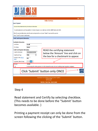| <b>HORE   VINING OCTVICES   HORE   VINING</b><br>Department of Professional and Occupational Regulation                                           |                                                                                                                                                          |
|---------------------------------------------------------------------------------------------------------------------------------------------------|----------------------------------------------------------------------------------------------------------------------------------------------------------|
|                                                                                                                                                   | Logon Contact Us                                                                                                                                         |
|                                                                                                                                                   | <b>Online Services</b>                                                                                                                                   |
| <b>Guest Payment</b>                                                                                                                              |                                                                                                                                                          |
| <b>Important Notice About Submitting Your Payment Information</b>                                                                                 |                                                                                                                                                          |
| To avoid system errors and the possibility of multiple charges to your credit card, click the SUBMIT button only ONCE.                            |                                                                                                                                                          |
| Enter the payment information, check the acknowledgement box and press "Submit" to process the payment.<br>Press "Cancel" to return to main menu. |                                                                                                                                                          |
| <b>Credit Card Payment Information</b>                                                                                                            |                                                                                                                                                          |
| <b>Cardholder Information</b><br>Last Name<br><b>Pacelli</b><br><b>Robert</b><br>First Name                                                       |                                                                                                                                                          |
| <b>Credit Card Payment Information</b><br>Credit Card Number<br>1111222233334444<br><b>VISA</b><br>Credit Card Type                               | READ the certifying statement<br>below the 'Amount' line and click on<br>the box for a checkmark to appear.                                              |
| Security Code (What's<br>000<br>this?)<br>Expiration (Month/Year)<br>$01 \vee$                                                                    |                                                                                                                                                          |
| 150.00<br>Amount<br>ᢦ                                                                                                                             | I acknowledge this online payment is for the Renewal fee only and is not certifying board regulation compliance.                                         |
| Click 'Submit' button only ONCE                                                                                                                   | <b>Submit</b><br><b>Cancel</b>                                                                                                                           |
|                                                                                                                                                   | Virginia Department of Professional and Occupational Regulation<br>Copyright © 2008<br><b>WAI</b> Compliant<br>Web Policy Start of Page Start of Content |

#### Step 4

(This needs to be done before the "Submit' button becomes available. ) Read statement and Certify by selecting checkbox.

Printing a payment receipt can only be done from the screen following the clicking of the 'Submit' button.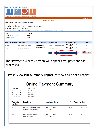

#### Press '**View PDF Summary Report**' to view and print a receipt.

|                                                                                                                                                                  | <b>Online Payment Summary</b> |                                                       |                                  |       |                     |  |
|------------------------------------------------------------------------------------------------------------------------------------------------------------------|-------------------------------|-------------------------------------------------------|----------------------------------|-------|---------------------|--|
| Date Paid:<br>04/25/2019<br>Total Amount Paid:<br>150 00<br>581279<br>Authorization Number:<br>255022<br>Batch Trace Number<br>Payment By:<br><b>Credit Card</b> |                               |                                                       |                                  |       |                     |  |
| Application<br><b>Number</b>                                                                                                                                     | <b>Description</b>            |                                                       | <b>Applicant Name</b>            | Fee   | <b>Trace Number</b> |  |
| 13491                                                                                                                                                            |                               | 1214 Wax Technician License<br>Wax Technician Renewal | PACELLI, ROBERT<br><b>THOMAS</b> | 75.00 | 255022D0            |  |
| 5062                                                                                                                                                             |                               | 1231 Tattooer License<br><b>Tattooer Renewal</b>      | PACELLI, ROBERT<br><b>THOMAS</b> | 75.00 | 255022D1            |  |
|                                                                                                                                                                  |                               |                                                       |                                  |       |                     |  |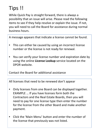## Tips !!

While Quick Pay is straight forward, there is always a possibility that an issue will arise. Please read the following items to see if they help resolve or explain the issue. If not, you will need to call the Board for assistance during normal business hours.

A message appears that indicate a license cannot be found.

- This can either be caused by using an incorrect license number or the license is not ready for renewal.
- You can verify your license number and expiration date by using the online **License Lookup** service located on the DPOR website.

Contact the Board for additional assistance

All licenses that need to be renewed don't appear

- Only licenses from one Board can be displayed together. EXAMPLE … If you have licenses form both the Contractors and the Real Estate Boards, then you will need to pay for one license type then enter the number for the license from the other Board and make another payment.
- Click the 'Main Menu' button and enter the number of the license that previously was not listed.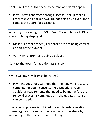Cont … All licenses that need to be renewed don't appear

• If you have confirmed through License Lookup that all licenses eligible for renewal are not being displayed, then contact the Board for assistance.

A message indicating the SSN or VA DMV number or FEIN is invalid is being displayed

- Make sure that dashes (-) or spaces are not being entered as part of the number.
- Verify which prompt is being displayed

Contact the Board for addition assistance

When will my new license be issued?

• Payment does not guarantee that the renewal process is complete for your license. Some occupations have additional requirements that need to be met before the renewal process is completed and the updated license can be issued.

The renewal process is outlined in each Boards regulations. These regulations can be found on the DPOR website by navigating to the specific board web page.